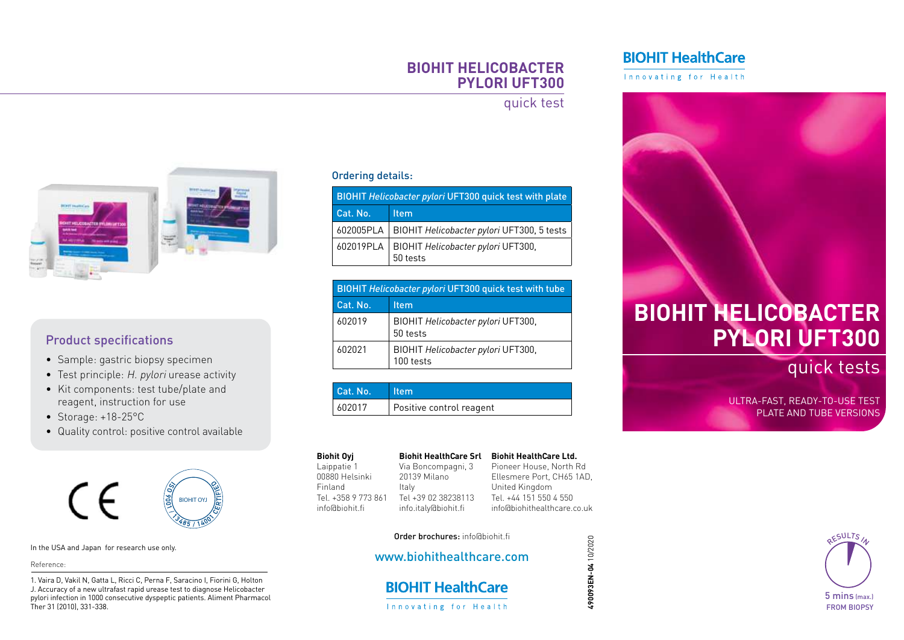### **BIOHIT HELICOBACTER PYLORI UFT300**

### quick test



### Product specifications

- Sample: gastric biopsy specimen
- Test principle: H. pylori urease activity
- Kit components: test tube/plate and reagent, instruction for use
- Storage: +18-25°C
- Quality control: positive control available



In the USA and Japan for research use only.

### Reference:

1. Vaira D, Vakil N, Gatta L, Ricci C, Perna F, Saracino I, Fiorini G, Holton J. Accuracy of a new ultrafast rapid urease test to diagnose Helicobacter pylori infection in 1000 consecutive dyspeptic patients. Aliment Pharmacol Ther 31 (2010), 331-338.

### Ordering details:

| <b>BIOHIT Helicobacter pylori UFT300 quick test with plate</b> |                                                            |  |
|----------------------------------------------------------------|------------------------------------------------------------|--|
| Cat. No.                                                       | <b>Item</b>                                                |  |
|                                                                | 602005PLA   BIOHIT Helicobacter pylori UFT300, 5 tests     |  |
|                                                                | 602019PLA   BIOHIT Helicobacter pylori UFT300,<br>50 tests |  |

| <b>BIOHIT Helicobacter pylori UFT300 quick test with tube</b> |                                                 |  |
|---------------------------------------------------------------|-------------------------------------------------|--|
| Cat. No.                                                      | <b>Item</b>                                     |  |
| 602019                                                        | BIOHIT Helicobacter pylori UFT300,<br>50 tests  |  |
| 602021                                                        | BIOHIT Helicobacter pylori UFT300,<br>100 tests |  |

| Cat. No.   Item |                          |
|-----------------|--------------------------|
| 602017          | Positive control reagent |

#### **Biohit HealthCare Srl** Via Boncompagni, 3

Order brochures: info@biohit.fi www.biohithealthcare.com

**BIOHIT HealthCare** Innovating for Health

20139 Milano

Italy

Laippatie 1 00880 Helsinki Finland Tel. +358 9 773 861 info@biohit.fi

**Biohit Oyj**

Tel +39 02 38238113 info.italy@biohit.fi **Biohit HealthCare Ltd.** Pioneer House, North Rd Ellesmere Port, CH65 1AD, United Kingdom Tel. +44 151 550 4 550 info@biohithealthcare.co.uk

> 490093EN-04 10/2020 **490093EN-04** 10/2020

### **BIOHIT HealthCare**

Innovating for Health

# **BIOHIT HELICOBACTER PYLORI UFT300**

quick tests

ULTRA-FAST, READY-TO-USE TEST PLATE AND TUBE VERSIONS